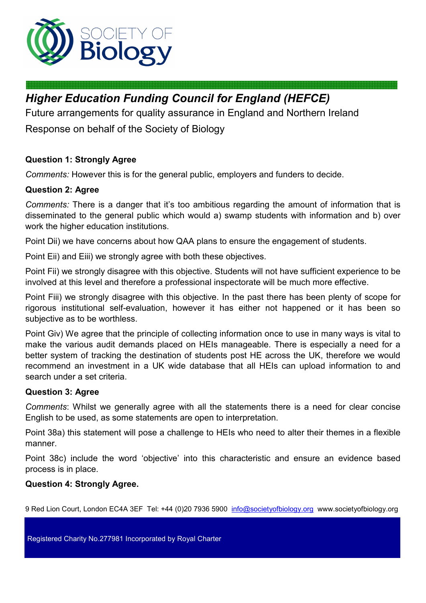

# *Higher Education Funding Council for England (HEFCE)*

Future arrangements for quality assurance in England and Northern Ireland

Response on behalf of the Society of Biology

# **Question 1: Strongly Agree**

*Comments:* However this is for the general public, employers and funders to decide.

## **Question 2: Agree**

*Comments:* There is a danger that it's too ambitious regarding the amount of information that is disseminated to the general public which would a) swamp students with information and b) over work the higher education institutions.

Point Dii) we have concerns about how QAA plans to ensure the engagement of students.

Point Eii) and Eiii) we strongly agree with both these objectives.

Point Fii) we strongly disagree with this objective. Students will not have sufficient experience to be involved at this level and therefore a professional inspectorate will be much more effective.

Point Fiii) we strongly disagree with this objective. In the past there has been plenty of scope for rigorous institutional self-evaluation, however it has either not happened or it has been so subjective as to be worthless.

Point Giv) We agree that the principle of collecting information once to use in many ways is vital to make the various audit demands placed on HEIs manageable. There is especially a need for a better system of tracking the destination of students post HE across the UK, therefore we would recommend an investment in a UK wide database that all HEIs can upload information to and search under a set criteria.

## **Question 3: Agree**

*Comments*: Whilst we generally agree with all the statements there is a need for clear concise English to be used, as some statements are open to interpretation.

Point 38a) this statement will pose a challenge to HEIs who need to alter their themes in a flexible manner.

Point 38c) include the word 'objective' into this characteristic and ensure an evidence based process is in place.

## **Question 4: Strongly Agree.**

9 Red Lion Court, London EC4A 3EF Tel: +44 (0)20 7936 5900 info@societyofbiology.org www.societyofbiology.org

Registered Charity No.277981 Incorporated by Royal Charter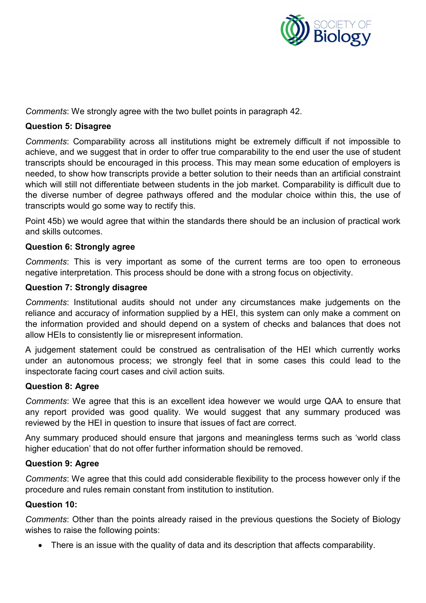

*Comments*: We strongly agree with the two bullet points in paragraph 42.

#### **Question 5: Disagree**

*Comments*: Comparability across all institutions might be extremely difficult if not impossible to achieve, and we suggest that in order to offer true comparability to the end user the use of student transcripts should be encouraged in this process. This may mean some education of employers is needed, to show how transcripts provide a better solution to their needs than an artificial constraint which will still not differentiate between students in the job market. Comparability is difficult due to the diverse number of degree pathways offered and the modular choice within this, the use of transcripts would go some way to rectify this.

Point 45b) we would agree that within the standards there should be an inclusion of practical work and skills outcomes.

#### **Question 6: Strongly agree**

*Comments*: This is very important as some of the current terms are too open to erroneous negative interpretation. This process should be done with a strong focus on objectivity.

#### **Question 7: Strongly disagree**

*Comments*: Institutional audits should not under any circumstances make judgements on the reliance and accuracy of information supplied by a HEI, this system can only make a comment on the information provided and should depend on a system of checks and balances that does not allow HEIs to consistently lie or misrepresent information.

A judgement statement could be construed as centralisation of the HEI which currently works under an autonomous process; we strongly feel that in some cases this could lead to the inspectorate facing court cases and civil action suits.

#### **Question 8: Agree**

*Comments*: We agree that this is an excellent idea however we would urge QAA to ensure that any report provided was good quality. We would suggest that any summary produced was reviewed by the HEI in question to insure that issues of fact are correct.

Any summary produced should ensure that jargons and meaningless terms such as 'world class higher education' that do not offer further information should be removed.

#### **Question 9: Agree**

*Comments*: We agree that this could add considerable flexibility to the process however only if the procedure and rules remain constant from institution to institution.

#### **Question 10:**

*Comments*: Other than the points already raised in the previous questions the Society of Biology wishes to raise the following points:

• There is an issue with the quality of data and its description that affects comparability.